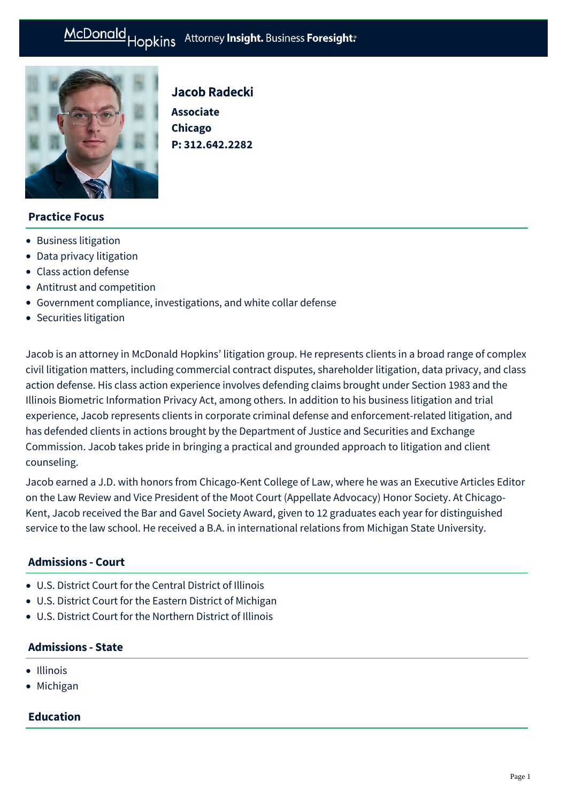# McDonald Hopkins Attorney Insight. Business Foresight:



# Jacob Radecki **Associate Chicago**

**P: [312.642.2282](tel:312.642.2282)**

## **Practice Focus**

- [Business litigation](https://mcdonaldhopkins.com/Expertise/Litigation/Business-litigation)
- [Data privacy litigation](https://mcdonaldhopkins.com/Expertise/Data-privacy-and-cybersecurity/Data-privacy-litigation)
- [Class action defense](https://mcdonaldhopkins.com/Expertise/Litigation/Class-action-defense)
- [Antitrust and competition](https://mcdonaldhopkins.com/Expertise/Business-counseling/Antitrust-and-competition)
- [Government compliance, investigations, and white collar defense](https://mcdonaldhopkins.com/Expertise/Litigation/Government-compliance,-investigations,-and-white-c)
- [Securities litigation](https://mcdonaldhopkins.com/Expertise/Litigation/Securities-litigation)

Jacob is an attorney in McDonald Hopkins' litigation group. He represents clients in a broad range of complex civil litigation matters, including commercial contract disputes, shareholder litigation, data privacy, and class action defense. His class action experience involves defending claims brought under Section 1983 and the Illinois Biometric Information Privacy Act, among others. In addition to his business litigation and trial experience, Jacob represents clients in corporate criminal defense and enforcement-related litigation, and has defended clients in actions brought by the Department of Justice and Securities and Exchange Commission. Jacob takes pride in bringing a practical and grounded approach to litigation and client counseling.

Jacob earned a J.D. with honors from Chicago-Kent College of Law, where he was an Executive Articles Editor on the Law Review and Vice President of the Moot Court (Appellate Advocacy) Honor Society. At Chicago-Kent, Jacob received the Bar and Gavel Society Award, given to 12 graduates each year for distinguished service to the law school. He received a B.A. in international relations from Michigan State University.

#### **Admissions - Court**

- U.S. District Court for the Central District of Illinois
- U.S. District Court for the Eastern District of Michigan
- U.S. District Court for the Northern District of Illinois

## **Admissions - State**

- Illinois
- Michigan

#### **Education**